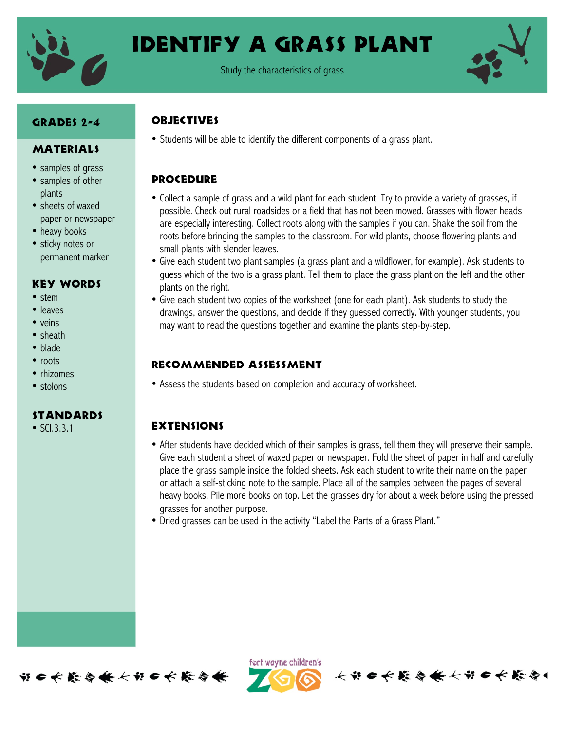

## Identify a grass plant

Study the characteristics of grass



## GRADES 2-4

#### MATERIALS

- samples of grass
- samples of other plants
- sheets of waxed paper or newspaper
- heavy books
- sticky notes or permanent marker

#### Key Words

- stem
- leaves
- veins
- sheath
- blade
- roots
- rhizomes
- stolons

#### **STANDARDS**

• SCI.3.3.1

#### **OBJECTIVES**

• Students will be able to identify the different components of a grass plant.

#### **PROCEDURE**

- Collect a sample of grass and a wild plant for each student. Try to provide a variety of grasses, if possible. Check out rural roadsides or a field that has not been mowed. Grasses with flower heads are especially interesting. Collect roots along with the samples if you can. Shake the soil from the roots before bringing the samples to the classroom. For wild plants, choose flowering plants and small plants with slender leaves.
- Give each student two plant samples (a grass plant and a wildflower, for example). Ask students to guess which of the two is a grass plant. Tell them to place the grass plant on the left and the other plants on the right.
- Give each student two copies of the worksheet (one for each plant). Ask students to study the drawings, answer the questions, and decide if they guessed correctly. With younger students, you may want to read the questions together and examine the plants step-by-step.

#### Recommended assessment

• Assess the students based on completion and accuracy of worksheet.

### **EXTENSIONS**

- After students have decided which of their samples is grass, tell them they will preserve their sample. Give each student a sheet of waxed paper or newspaper. Fold the sheet of paper in half and carefully place the grass sample inside the folded sheets. Ask each student to write their name on the paper or attach a self-sticking note to the sample. Place all of the samples between the pages of several heavy books. Pile more books on top. Let the grasses dry for about a week before using the pressed grasses for another purpose.
- Dried grasses can be used in the activity "Label the Parts of a Grass Plant."



ført wayne children's

长节口长能与长长节口长能令